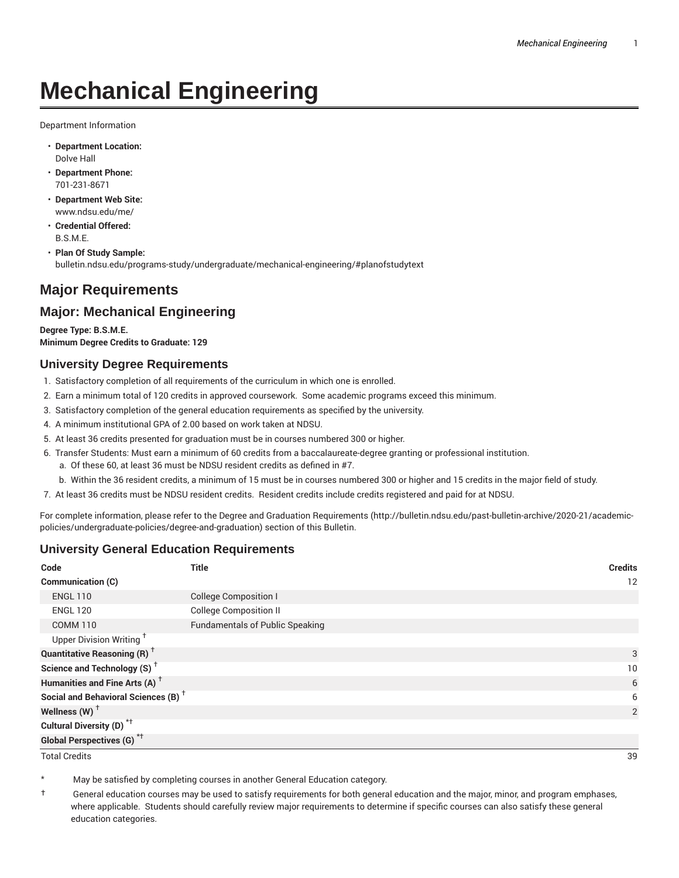# **Mechanical Engineering**

Department Information

- **Department Location:** Dolve Hall
- **Department Phone:** 701-231-8671
- **Department Web Site:** www.ndsu.edu/me/
- **Credential Offered:** B.S.M.E.
- **Plan Of Study Sample:** bulletin.ndsu.edu/programs-study/undergraduate/mechanical-engineering/#planofstudytext

## **Major Requirements**

## **Major: Mechanical Engineering**

**Degree Type: B.S.M.E. Minimum Degree Credits to Graduate: 129**

#### **University Degree Requirements**

- 1. Satisfactory completion of all requirements of the curriculum in which one is enrolled.
- 2. Earn a minimum total of 120 credits in approved coursework. Some academic programs exceed this minimum.
- 3. Satisfactory completion of the general education requirements as specified by the university.
- 4. A minimum institutional GPA of 2.00 based on work taken at NDSU.
- 5. At least 36 credits presented for graduation must be in courses numbered 300 or higher.
- 6. Transfer Students: Must earn a minimum of 60 credits from a baccalaureate-degree granting or professional institution.
	- a. Of these 60, at least 36 must be NDSU resident credits as defined in #7.
	- b. Within the 36 resident credits, a minimum of 15 must be in courses numbered 300 or higher and 15 credits in the major field of study.
- 7. At least 36 credits must be NDSU resident credits. Resident credits include credits registered and paid for at NDSU.

For complete information, please refer to the Degree and Graduation Requirements (http://bulletin.ndsu.edu/past-bulletin-archive/2020-21/academicpolicies/undergraduate-policies/degree-and-graduation) section of this Bulletin.

#### **University General Education Requirements**

| Code                                            | <b>Title</b>                           | <b>Credits</b> |
|-------------------------------------------------|----------------------------------------|----------------|
| Communication (C)                               |                                        | 12             |
| <b>ENGL 110</b>                                 | <b>College Composition I</b>           |                |
| <b>ENGL 120</b>                                 | <b>College Composition II</b>          |                |
| <b>COMM 110</b>                                 | <b>Fundamentals of Public Speaking</b> |                |
| Upper Division Writing <sup>+</sup>             |                                        |                |
| <b>Quantitative Reasoning (R)</b> <sup>†</sup>  |                                        | 3              |
| Science and Technology (S) <sup>+</sup>         |                                        | 10             |
| Humanities and Fine Arts (A) <sup>+</sup>       |                                        | 6              |
| Social and Behavioral Sciences (B) <sup>+</sup> |                                        | 6              |
| Wellness $(W)$ <sup>+</sup>                     |                                        | 2              |
| Cultural Diversity (D) <sup>*†</sup>            |                                        |                |
| <b>Global Perspectives (G)<sup>*†</sup></b>     |                                        |                |

Total Credits 39

May be satisfied by completing courses in another General Education category.

† General education courses may be used to satisfy requirements for both general education and the major, minor, and program emphases, where applicable. Students should carefully review major requirements to determine if specific courses can also satisfy these general education categories.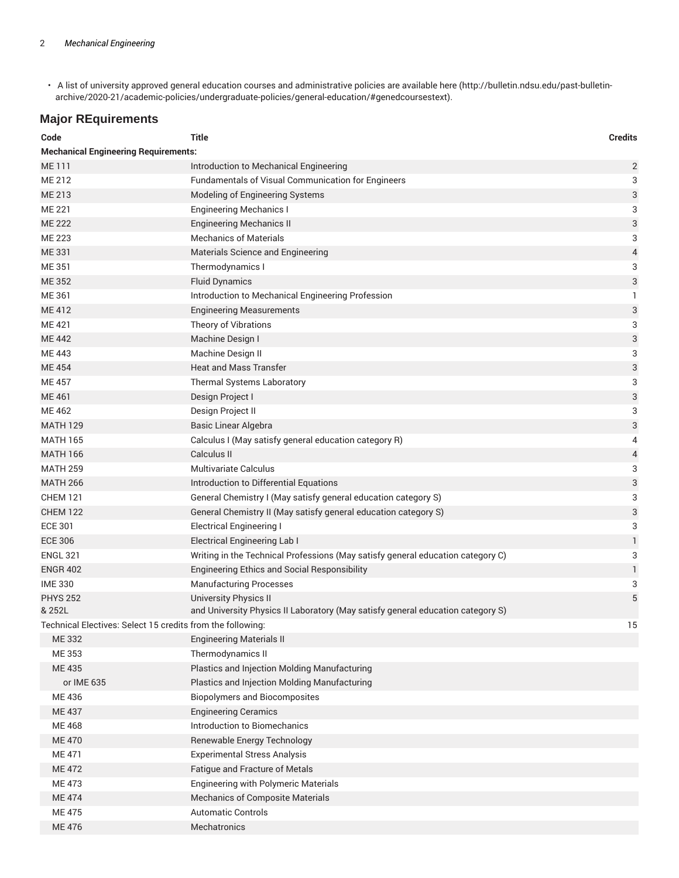• A list of university approved general education courses and administrative policies are available here (http://bulletin.ndsu.edu/past-bulletinarchive/2020-21/academic-policies/undergraduate-policies/general-education/#genedcoursestext).

## **Major REquirements**

| Code                                                       | <b>Title</b>                                                                    | <b>Credits</b>            |  |
|------------------------------------------------------------|---------------------------------------------------------------------------------|---------------------------|--|
| <b>Mechanical Engineering Requirements:</b>                |                                                                                 |                           |  |
| <b>ME111</b>                                               | Introduction to Mechanical Engineering                                          | $\overline{2}$            |  |
| ME 212                                                     | Fundamentals of Visual Communication for Engineers                              | 3                         |  |
| ME 213                                                     | Modeling of Engineering Systems                                                 | 3                         |  |
| <b>ME 221</b>                                              | <b>Engineering Mechanics I</b>                                                  | 3                         |  |
| <b>ME 222</b>                                              | <b>Engineering Mechanics II</b>                                                 | $\ensuremath{\mathsf{3}}$ |  |
| ME 223                                                     | <b>Mechanics of Materials</b>                                                   | 3                         |  |
| ME 331                                                     | Materials Science and Engineering                                               | $\overline{4}$            |  |
| ME 351                                                     | Thermodynamics I                                                                | 3                         |  |
| ME 352                                                     | <b>Fluid Dynamics</b>                                                           | 3                         |  |
| ME 361                                                     | Introduction to Mechanical Engineering Profession                               | 1                         |  |
| ME 412                                                     | <b>Engineering Measurements</b>                                                 | 3                         |  |
| ME 421                                                     | Theory of Vibrations                                                            | 3                         |  |
| <b>ME442</b>                                               | Machine Design I                                                                | 3                         |  |
| ME 443                                                     | Machine Design II                                                               | 3                         |  |
| <b>ME454</b>                                               | <b>Heat and Mass Transfer</b>                                                   | 3                         |  |
| <b>ME457</b>                                               | Thermal Systems Laboratory                                                      | 3                         |  |
| ME 461                                                     | Design Project I                                                                | 3                         |  |
| ME 462                                                     | Design Project II                                                               | 3                         |  |
| <b>MATH 129</b>                                            | <b>Basic Linear Algebra</b>                                                     | 3                         |  |
| <b>MATH 165</b>                                            | Calculus I (May satisfy general education category R)                           | 4                         |  |
| <b>MATH 166</b>                                            | Calculus II                                                                     | $\overline{4}$            |  |
| <b>MATH 259</b>                                            | <b>Multivariate Calculus</b>                                                    | 3                         |  |
| <b>MATH 266</b>                                            | Introduction to Differential Equations                                          | 3                         |  |
| <b>CHEM 121</b>                                            | General Chemistry I (May satisfy general education category S)                  | 3                         |  |
| <b>CHEM 122</b>                                            | General Chemistry II (May satisfy general education category S)                 | 3                         |  |
| <b>ECE 301</b>                                             | <b>Electrical Engineering I</b>                                                 | 3                         |  |
| <b>ECE 306</b>                                             | <b>Electrical Engineering Lab I</b>                                             | 1                         |  |
| <b>ENGL 321</b>                                            | Writing in the Technical Professions (May satisfy general education category C) | 3                         |  |
| <b>ENGR 402</b>                                            | Engineering Ethics and Social Responsibility                                    | $\mathbf{1}$              |  |
| <b>IME 330</b>                                             | <b>Manufacturing Processes</b>                                                  | 3                         |  |
| <b>PHYS 252</b>                                            | <b>University Physics II</b>                                                    | 5                         |  |
| & 252L                                                     | and University Physics II Laboratory (May satisfy general education category S) |                           |  |
| Technical Electives: Select 15 credits from the following: |                                                                                 | 15                        |  |
| ME 332                                                     | <b>Engineering Materials II</b>                                                 |                           |  |
| ME 353                                                     | Thermodynamics II                                                               |                           |  |
| ME 435                                                     | Plastics and Injection Molding Manufacturing                                    |                           |  |
| or IME 635                                                 | Plastics and Injection Molding Manufacturing                                    |                           |  |
| ME 436                                                     | <b>Biopolymers and Biocomposites</b>                                            |                           |  |
| <b>ME437</b>                                               | <b>Engineering Ceramics</b>                                                     |                           |  |
| ME 468                                                     | Introduction to Biomechanics                                                    |                           |  |
| <b>ME470</b>                                               | Renewable Energy Technology                                                     |                           |  |
| <b>ME 471</b>                                              | <b>Experimental Stress Analysis</b>                                             |                           |  |
| <b>ME472</b>                                               | Fatigue and Fracture of Metals                                                  |                           |  |
| ME 473                                                     | <b>Engineering with Polymeric Materials</b>                                     |                           |  |
| <b>ME474</b>                                               | <b>Mechanics of Composite Materials</b>                                         |                           |  |
| ME 475                                                     | <b>Automatic Controls</b>                                                       |                           |  |
| ME 476                                                     | Mechatronics                                                                    |                           |  |